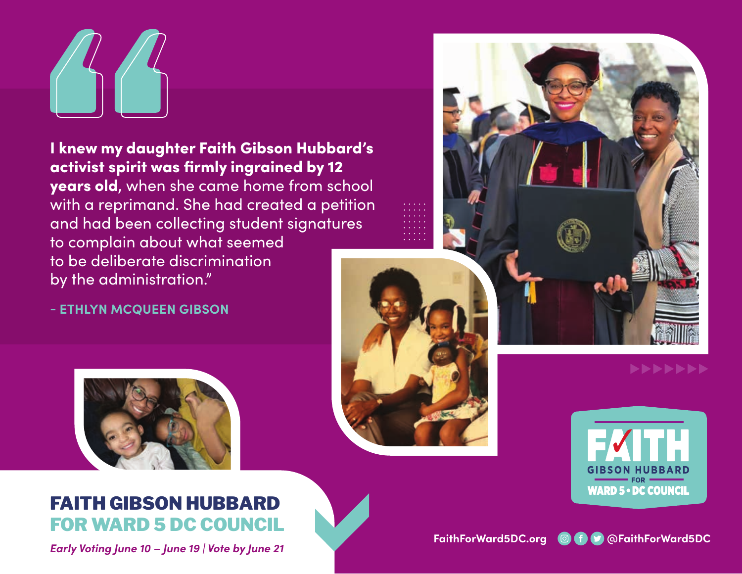I knew my daughter Faith Gibson Hubbard's activist spirit was firmly ingrained by 12 years old, when she came home from school with a reprimand. She had created a petition and had been collecting student signatures to complain about what seemed to be deliberate discrimination by the administration."

**- ETHLYN MCQUEEN GIBSON**



## FAITH GIBSON HUBBARD FOR WARD 5 DC COUNCIL

*Early Voting June 10 – June 19 | Vote by June 21*







FaithForWard5DC.org **@f D** @FaithForWard5DC